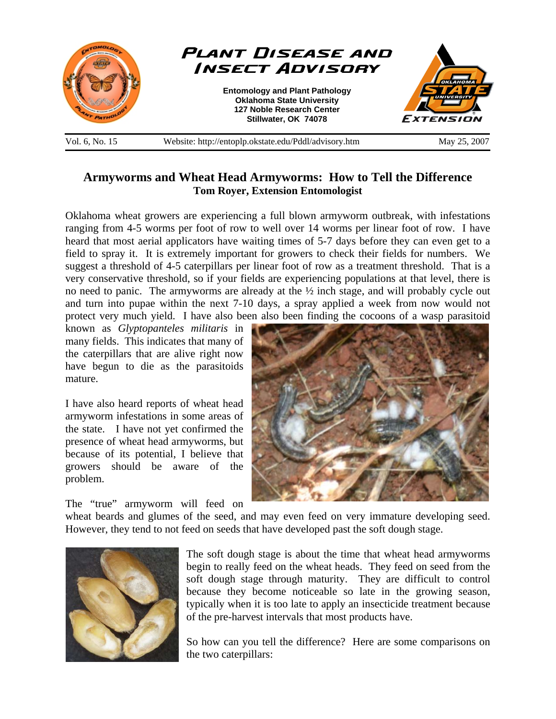

## **Armyworms and Wheat Head Armyworms: How to Tell the Difference Tom Royer, Extension Entomologist**

Oklahoma wheat growers are experiencing a full blown armyworm outbreak, with infestations ranging from 4-5 worms per foot of row to well over 14 worms per linear foot of row. I have heard that most aerial applicators have waiting times of 5-7 days before they can even get to a field to spray it. It is extremely important for growers to check their fields for numbers. We suggest a threshold of 4-5 caterpillars per linear foot of row as a treatment threshold. That is a very conservative threshold, so if your fields are experiencing populations at that level, there is no need to panic. The armyworms are already at the ½ inch stage, and will probably cycle out and turn into pupae within the next 7-10 days, a spray applied a week from now would not protect very much yield. I have also been also been finding the cocoons of a wasp parasitoid

known as *Glyptopanteles militaris* in many fields. This indicates that many of the caterpillars that are alive right now have begun to die as the parasitoids mature.

I have also heard reports of wheat head armyworm infestations in some areas of the state. I have not yet confirmed the presence of wheat head armyworms, but because of its potential, I believe that growers should be aware of the problem.

The "true" armyworm will feed on



wheat beards and glumes of the seed, and may even feed on very immature developing seed. However, they tend to not feed on seeds that have developed past the soft dough stage.



The soft dough stage is about the time that wheat head armyworms begin to really feed on the wheat heads. They feed on seed from the soft dough stage through maturity. They are difficult to control because they become noticeable so late in the growing season, typically when it is too late to apply an insecticide treatment because of the pre-harvest intervals that most products have.

So how can you tell the difference? Here are some comparisons on the two caterpillars: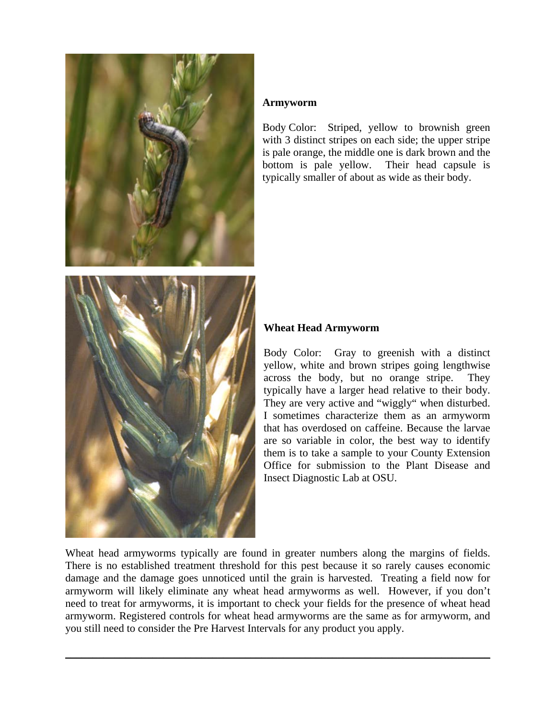

## **Armyworm**

Body Color: Striped, yellow to brownish green with 3 distinct stripes on each side; the upper stripe is pale orange, the middle one is dark brown and the bottom is pale yellow. Their head capsule is typically smaller of about as wide as their body.

## **Wheat Head Armyworm**

Body Color: Gray to greenish with a distinct yellow, white and brown stripes going lengthwise across the body, but no orange stripe. They typically have a larger head relative to their body. They are very active and "wiggly" when disturbed. I sometimes characterize them as an armyworm that has overdosed on caffeine. Because the larvae are so variable in color, the best way to identify them is to take a sample to your County Extension Office for submission to the Plant Disease and Insect Diagnostic Lab at OSU.

Wheat head armyworms typically are found in greater numbers along the margins of fields. There is no established treatment threshold for this pest because it so rarely causes economic damage and the damage goes unnoticed until the grain is harvested. Treating a field now for armyworm will likely eliminate any wheat head armyworms as well. However, if you don't need to treat for armyworms, it is important to check your fields for the presence of wheat head armyworm. Registered controls for wheat head armyworms are the same as for armyworm, and you still need to consider the Pre Harvest Intervals for any product you apply.

\_\_\_\_\_\_\_\_\_\_\_\_\_\_\_\_\_\_\_\_\_\_\_\_\_\_\_\_\_\_\_\_\_\_\_\_\_\_\_\_\_\_\_\_\_\_\_\_\_\_\_\_\_\_\_\_\_\_\_\_\_\_\_\_\_\_\_\_\_\_\_\_\_\_\_\_\_\_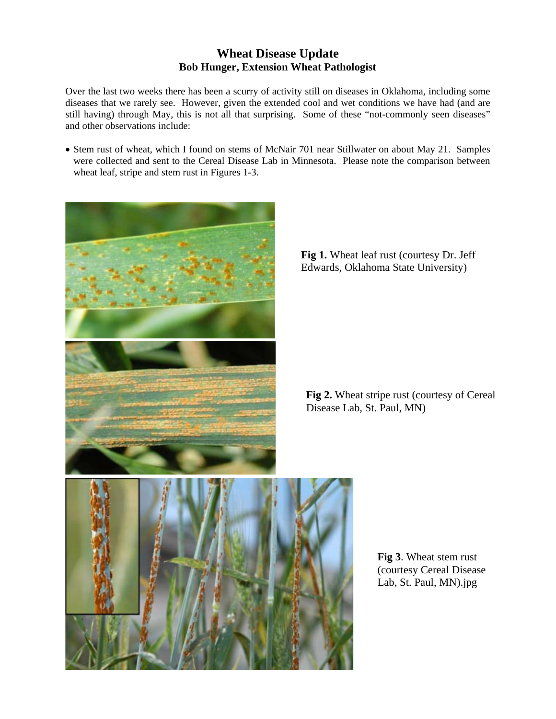## **Wheat Disease Update Bob Hunger, Extension Wheat Pathologist**

Over the last two weeks there has been a scurry of activity still on diseases in Oklahoma, including some diseases that we rarely see. However, given the extended cool and wet conditions we have had (and are still having) through May, this is not all that surprising. Some of these "not-commonly seen diseases" and other observations include:

• Stem rust of wheat, which I found on stems of McNair 701 near Stillwater on about May 21. Samples were collected and sent to the Cereal Disease Lab in Minnesota. Please note the comparison between wheat leaf, stripe and stem rust in Figures 1-3.



Fig 1. Wheat leaf rust (courtesy Dr. Jeff Edwards, Oklahoma State University)

**Fig 2.** Wheat stripe rust (courtesy of Cereal Disease Lab, St. Paul, MN)

**Fig 3**. Wheat stem rust (courtesy Cereal Disease Lab, St. Paul, MN).jpg